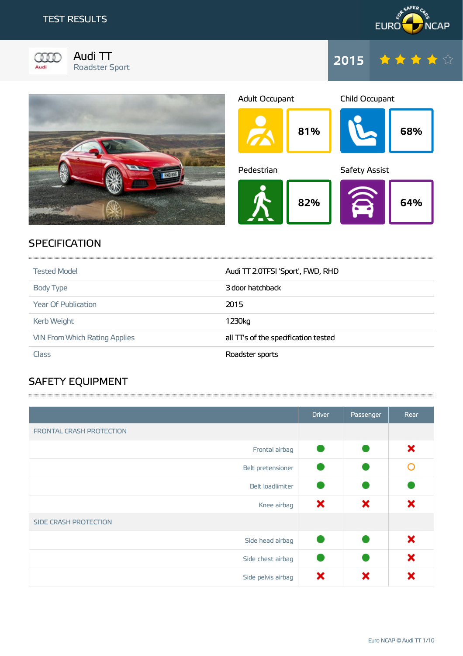



Audi TT Roadster Sport







## **SPECIFICATION**

| <b>Tested Model</b>                  | Audi TT 2.0TFSI 'Sport', FWD, RHD   |
|--------------------------------------|-------------------------------------|
| <b>Body Type</b>                     | 3 door hatchback                    |
| <b>Year Of Publication</b>           | 2015                                |
| <b>Kerb Weight</b>                   | 1230kg                              |
| <b>VIN From Which Rating Applies</b> | all TTs of the specification tested |
| <b>Class</b>                         | Roadster sports                     |

**1999年10月19日,1月19日,1月19日,1月19日,1月19日,1月19日,1月19日,1月19日,1月19日,1月19日,1月19日,1月19日,1月1** 

**1999年1月19日,1999年1月19日,1999年1月1日,1999年1月1日,1999年1月1日,1999年1月1日,1999年1月1日,1999年1月** 

# SAFETY EQUIPMENT

|                          | <b>Driver</b> | Passenger | Rear |
|--------------------------|---------------|-----------|------|
| FRONTAL CRASH PROTECTION |               |           |      |
| Frontal airbag           |               |           | ×    |
| Belt pretensioner        |               |           |      |
| Belt loadlimiter         |               |           |      |
| Knee airbag              | ×             | ×         | ×    |
| SIDE CRASH PROTECTION    |               |           |      |
| Side head airbag         | e.            |           | ×    |
| Side chest airbag        |               |           | ×    |
| Side pelvis airbag       | ×             | ×         | x    |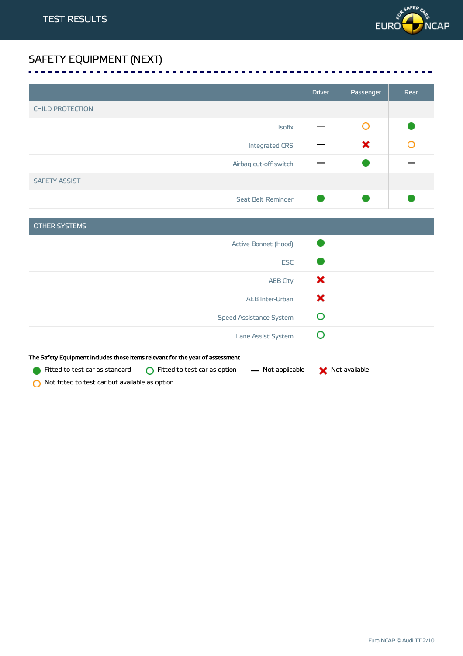

# SAFETY EQUIPMENT (NEXT)

|                         | <b>Driver</b> | Passenger | Rear |
|-------------------------|---------------|-----------|------|
| <b>CHILD PROTECTION</b> |               |           |      |
| Isofix                  |               | O         |      |
| Integrated CRS          |               | ×         | O    |
| Airbag cut-off switch   |               |           |      |
| <b>SAFETY ASSIST</b>    |               |           |      |
| Seat Belt Reminder      |               |           |      |

| OTHER SYSTEMS                  |   |
|--------------------------------|---|
| Active Bonnet (Hood)           |   |
| <b>ESC</b>                     |   |
| <b>AEB City</b>                | × |
| AEB Inter-Urban                | × |
| <b>Speed Assistance System</b> | O |
| Lane Assist System             |   |

The Safety Equipment includes those items relevant for the year of assessment

Fitted to test car as standard  $\bigcirc$  Fitted to test car as option  $\qquad$  Not applicable  $\qquad \bigtimes$  Not available

Not fitted to test car but available as option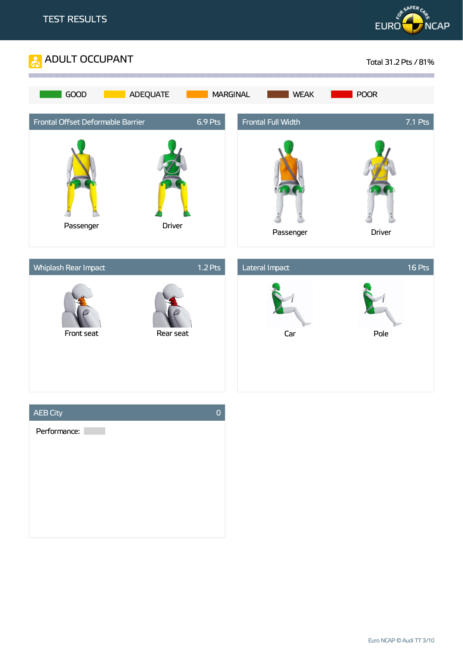



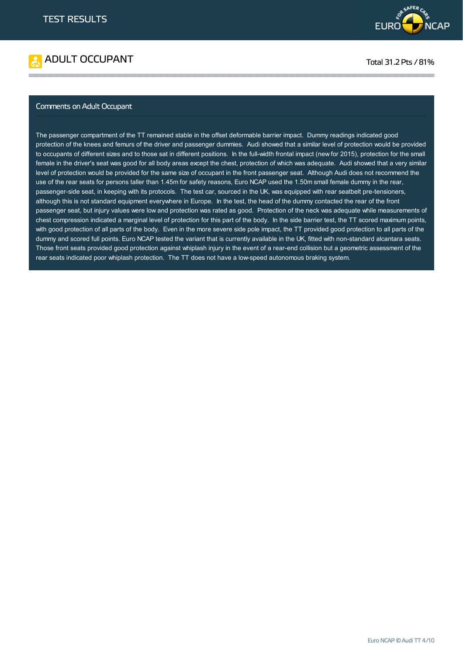



### Comments on Adult Occupant

The passenger compartment of the TT remained stable in the offset deformable barrier impact. Dummy readings indicated good protection of the knees and femurs of the driver and passenger dummies. Audi showed that a similar level of protection would be provided to occupants of different sizes and to those sat in different positions. In the full-width frontal impact (new for 2015), protection for the small female in the driver's seat was good for all body areas except the chest, protection of which was adequate. Audi showed that a very similar level of protection would be provided for the same size of occupant in the front passenger seat. Although Audi does not recommend the use of the rear seats for persons taller than 1.45m for safety reasons, Euro NCAP used the 1.50m small female dummy in the rear, passenger-side seat, in keeping with its protocols. The test car, sourced in the UK, was equipped with rear seatbelt pre-tensioners, although this is not standard equipment everywhere in Europe. In the test, the head of the dummy contacted the rear of the front passenger seat, but injury values were low and protection was rated as good. Protection of the neck was adequate while measurements of chest compression indicated a marginal level of protection for this part of the body. In the side barrier test, the TT scored maximum points, with good protection of all parts of the body. Even in the more severe side pole impact, the TT provided good protection to all parts of the dummy and scored full points. Euro NCAP tested the variant that is currently available in the UK, fitted with non-standard alcantara seats. Those front seats provided good protection against whiplash injury in the event of a rear-end collision but a geometric assessment of the rear seats indicated poor whiplash protection. The TT does not have a low-speed autonomous braking system.

**这个人的人都不能在这个人的人,就是这个人的人,就是这个人的人,就是这个人的人,就是这个人的人,就是这个人的人,就是这个人的人,就是这个人的人,**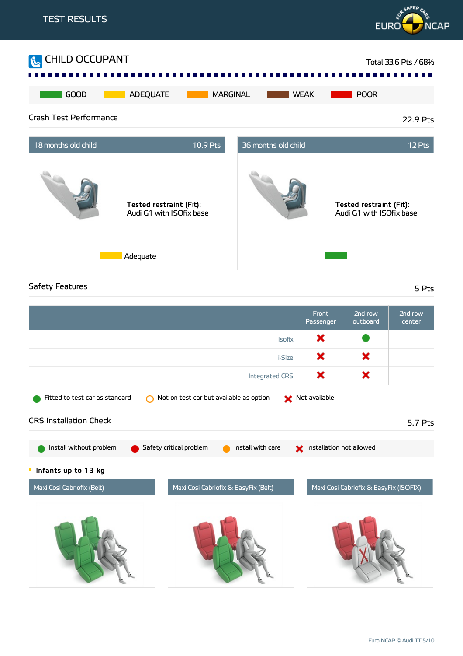

## Safety Features 5 Pts

|                                                                                            |                                              | Front<br>Passenger       | 2nd row<br>outboard                    | 2nd row<br>center |
|--------------------------------------------------------------------------------------------|----------------------------------------------|--------------------------|----------------------------------------|-------------------|
|                                                                                            | <b>Isofix</b>                                | ×                        |                                        |                   |
|                                                                                            | <i>i-Size</i>                                | ×                        | ×                                      |                   |
|                                                                                            | <b>Integrated CRS</b>                        | ×                        | ×                                      |                   |
| Not available<br>Fitted to test car as standard<br>Not on test car but available as option |                                              |                          |                                        |                   |
| <b>CRS Installation Check</b>                                                              |                                              |                          |                                        | 5.7 Pts           |
| Install without problem                                                                    | Install with care<br>Safety critical problem | Installation not allowed |                                        |                   |
| Infants up to 13 kg                                                                        |                                              |                          |                                        |                   |
| Maxi Cosi Cabriofix (Belt)                                                                 | Maxi Cosi Cabriofix & EasyFix (Belt)         |                          | Maxi Cosi Cabriofix & EasyFix (ISOFIX) |                   |
|                                                                                            |                                              |                          |                                        |                   |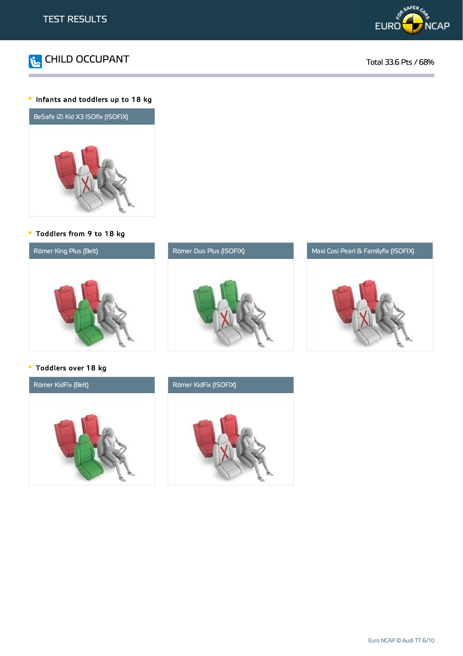



### Infants and toddlers up to 18 kg



Toddlers from 9 to 18 kg







Toddlers over 18 kg



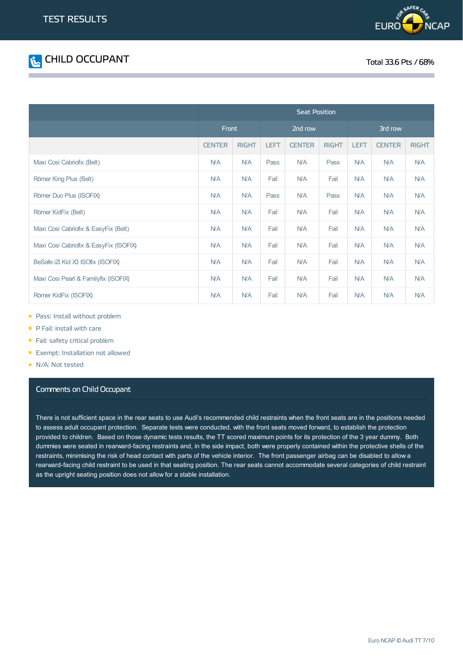



|                                        | <b>Seat Position</b> |              |             |               |              |             |               |              |
|----------------------------------------|----------------------|--------------|-------------|---------------|--------------|-------------|---------------|--------------|
|                                        | <b>Front</b>         |              |             | 2nd row       |              |             | 3rd row       |              |
|                                        | <b>CENTER</b>        | <b>RIGHT</b> | <b>LEFT</b> | <b>CENTER</b> | <b>RIGHT</b> | <b>LEFT</b> | <b>CENTER</b> | <b>RIGHT</b> |
| Maxi Cosi Cabriofix (Belt)             | N/A                  | <b>N/A</b>   | Pass        | <b>N/A</b>    | Pass         | <b>N/A</b>  | <b>N/A</b>    | <b>N/A</b>   |
| Römer King Plus (Belt)                 | N/A                  | <b>N/A</b>   | Fail        | N/A           | Fail         | <b>N/A</b>  | <b>N/A</b>    | <b>N/A</b>   |
| Römer Duo Plus (ISOFIX)                | <b>N/A</b>           | <b>N/A</b>   | Pass        | <b>N/A</b>    | Pass         | <b>N/A</b>  | <b>N/A</b>    | <b>N/A</b>   |
| Römer KidFix (Belt)                    | <b>N/A</b>           | <b>N/A</b>   | Fail        | <b>N/A</b>    | Fail         | <b>N/A</b>  | <b>N/A</b>    | <b>N/A</b>   |
| Maxi Cosi Cabriofix & EasyFix (Belt)   | N/A                  | <b>N/A</b>   | Fail        | <b>N/A</b>    | Fail         | <b>N/A</b>  | <b>N/A</b>    | <b>N/A</b>   |
| Maxi Cosi Cabriofix & EasyFix (ISOFIX) | <b>N/A</b>           | <b>N/A</b>   | Fail        | <b>N/A</b>    | Fail         | <b>N/A</b>  | <b>N/A</b>    | <b>N/A</b>   |
| BeSafe iZi Kid X3 ISOfix (ISOFIX)      | <b>N/A</b>           | <b>N/A</b>   | Fail        | <b>N/A</b>    | Fail         | <b>N/A</b>  | <b>N/A</b>    | <b>N/A</b>   |
| Maxi Cosi Pearl & Familyfix (ISOFIX)   | <b>N/A</b>           | <b>N/A</b>   | Fail        | <b>N/A</b>    | Fail         | <b>N/A</b>  | <b>N/A</b>    | <b>N/A</b>   |
| Römer KidFix (ISOFIX)                  | N/A                  | <b>N/A</b>   | Fail        | N/A           | Fail         | <b>N/A</b>  | <b>N/A</b>    | <b>N/A</b>   |

and the contract of the contract of the contract of the contract of the contract of the contract of the contract of the contract of the contract of the contract of the contract of the contract of the contract of the contra

- **Pass: Install without problem**
- P Fail: install with care
- Fail: safety critical problem
- **Exempt: Installation not allowed**
- N/A: Not tested

### Comments on Child Occupant

There is not sufficient space in the rear seats to use Audi's recommended child restraints when the front seats are in the positions needed to assess adult occupant protection. Separate tests were conducted, with the front seats moved forward, to establish the protection provided to children. Based on those dynamic tests results, the TT scored maximum points for its protection of the 3 year dummy. Both dummies were seated in rearward-facing restraints and, in the side impact, both were properly contained within the protective shells of the restraints, minimising the risk of head contact with parts of the vehicle interior. The front passenger airbag can be disabled to allow a rearward-facing child restraint to be used in that seating position. The rear seats cannot accommodate several categories of child restraint as the upright seating position does not allow for a stable installation.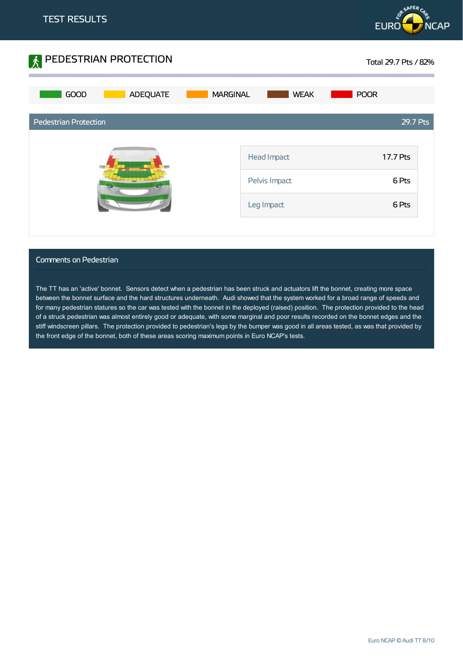



### Comments on Pedestrian

The TT has an 'active' bonnet. Sensors detect when a pedestrian has been struck and actuators lift the bonnet, creating more space between the bonnet surface and the hard structures underneath. Audi showed that the system worked for a broad range of speeds and for many pedestrian statures so the car was tested with the bonnet in the deployed (raised) position. The protection provided to the head of a struck pedestrian was almost entirely good or adequate, with some marginal and poor results recorded on the bonnet edges and the stiff windscreen pillars. The protection provided to pedestrian's legs by the bumper was good in all areas tested, as was that provided by the front edge of the bonnet, both of these areas scoring maximum points in Euro NCAP's tests.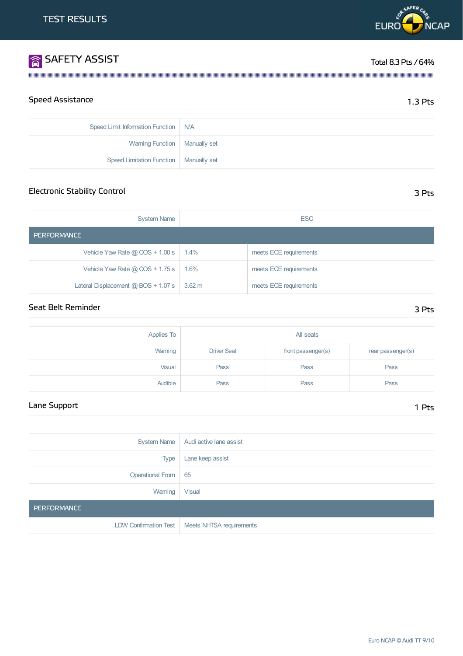Speed Limit Information Function | N/A

Warning Function | Manually set

Speed Limitation Function | Manually set

| <b>System Name</b>                    | <b>ESC</b>       |                        |  |
|---------------------------------------|------------------|------------------------|--|
| <b>PERFORMANCE</b>                    |                  |                        |  |
| Vehicle Yaw Rate $@$ COS + 1.00 s     | 1.4%             | meets ECE requirements |  |
| Vehicle Yaw Rate $@$ COS + 1.75 s     | 1.6%             | meets ECE requirements |  |
| Lateral Displacement $@$ BOS + 1.07 s | $3.62 \text{ m}$ | meets ECE requirements |  |

Electronic Stability Control 3 Pts

**1999年,我们的人们也不能在这里的人们,我们也不能在这里的人们,我们也不能在这里的人们,我们也不能在这里的人们,我们也不能在这里的人们**,我们也不能在这里的人们

## Seat Belt Reminder 3 Pts

| <b>Applies To</b> | All seats          |                    |                   |
|-------------------|--------------------|--------------------|-------------------|
| Warning           | <b>Driver Seat</b> | front passenger(s) | rear passenger(s) |
| Visual            | Pass               | Pass               | Pass              |
| Audible           | Pass               | Pass               | Pass              |

## Lane Support 1 Pts

|                       | System Name   Audi active lane assist            |
|-----------------------|--------------------------------------------------|
| <b>Type</b>           | Lane keep assist                                 |
| Operational From   65 |                                                  |
| Warning               | <b>Visual</b>                                    |
| <b>PERFORMANCE</b>    |                                                  |
|                       | LDW Confirmation Test   Meets NHTSA requirements |



# **SAFETY ASSIST** Total 8.3 Pts / 64%

Speed Assistance 2.5 Pts and 2.3 Pts and 2.3 Pts and 2.3 Pts and 2.3 Pts and 2.3 Pts and 2.3 Pts and 2.3 Pts and 2.3 Pts and 2.3 Pts and 2.3 Pts and 2.3 Pts and 2.3 Pts and 2.3 Pts and 2.3 Pts and 2.3 Pts and 2.4 Pts and 2